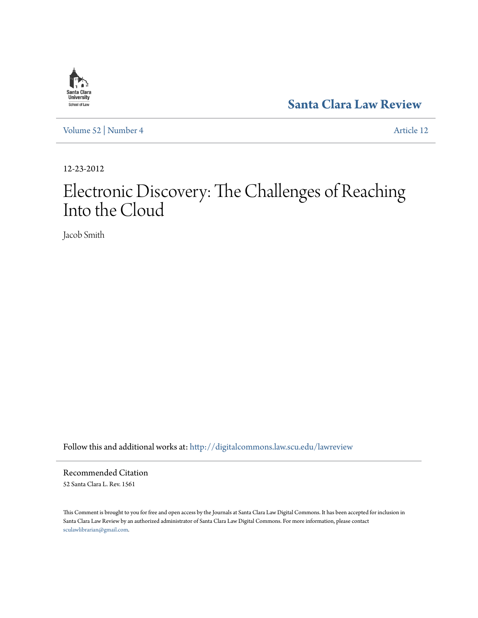

**[Santa Clara Law Review](http://digitalcommons.law.scu.edu/lawreview?utm_source=digitalcommons.law.scu.edu%2Flawreview%2Fvol52%2Fiss4%2F12&utm_medium=PDF&utm_campaign=PDFCoverPages)**

[Volume 52](http://digitalcommons.law.scu.edu/lawreview/vol52?utm_source=digitalcommons.law.scu.edu%2Flawreview%2Fvol52%2Fiss4%2F12&utm_medium=PDF&utm_campaign=PDFCoverPages) | [Number 4](http://digitalcommons.law.scu.edu/lawreview/vol52/iss4?utm_source=digitalcommons.law.scu.edu%2Flawreview%2Fvol52%2Fiss4%2F12&utm_medium=PDF&utm_campaign=PDFCoverPages) [Article 12](http://digitalcommons.law.scu.edu/lawreview/vol52/iss4/12?utm_source=digitalcommons.law.scu.edu%2Flawreview%2Fvol52%2Fiss4%2F12&utm_medium=PDF&utm_campaign=PDFCoverPages)

12-23-2012

# Electronic Discovery: The Challenges of Reaching Into the Cloud

Jacob Smith

Follow this and additional works at: [http://digitalcommons.law.scu.edu/lawreview](http://digitalcommons.law.scu.edu/lawreview?utm_source=digitalcommons.law.scu.edu%2Flawreview%2Fvol52%2Fiss4%2F12&utm_medium=PDF&utm_campaign=PDFCoverPages)

Recommended Citation 52 Santa Clara L. Rev. 1561

This Comment is brought to you for free and open access by the Journals at Santa Clara Law Digital Commons. It has been accepted for inclusion in Santa Clara Law Review by an authorized administrator of Santa Clara Law Digital Commons. For more information, please contact [sculawlibrarian@gmail.com](mailto:sculawlibrarian@gmail.com).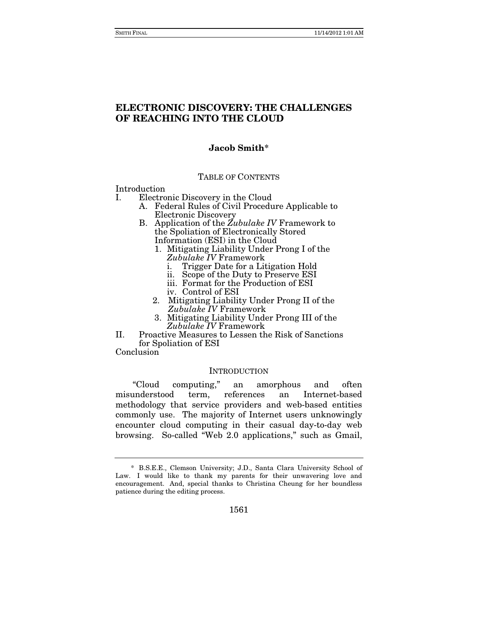### **ELECTRONIC DISCOVERY: THE CHALLENGES OF REACHING INTO THE CLOUD**

### **Jacob Smith\***

### TABLE OF CONTENTS

Introduction

- I. Electronic Discovery in the Cloud
	- A. Federal Rules of Civil Procedure Applicable to Electronic Discovery
	- B. Application of the *Zubulake IV* Framework to the Spoliation of Electronically Stored Information (ESI) in the Cloud
		- 1. Mitigating Liability Under Prong I of the *Zubulake IV* Framework
			- i. Trigger Date for a Litigation Hold
			- ii. Scope of the Duty to Preserve ESI
			- iii. Format for the Production of ESI
			- iv. Control of ESI
		- 2. Mitigating Liability Under Prong II of the *Zubulake IV* Framework
		- 3. Mitigating Liability Under Prong III of the *Zubulake IV* Framework
- II. Proactive Measures to Lessen the Risk of Sanctions for Spoliation of ESI

Conclusion

### **INTRODUCTION**

"Cloud computing," an amorphous and often misunderstood term, references an Internet-based methodology that service providers and web-based entities commonly use. The majority of Internet users unknowingly encounter cloud computing in their casual day-to-day web browsing. So-called "Web 2.0 applications," such as Gmail,

 <sup>\*</sup> B.S.E.E., Clemson University; J.D., Santa Clara University School of Law. I would like to thank my parents for their unwavering love and encouragement. And, special thanks to Christina Cheung for her boundless patience during the editing process.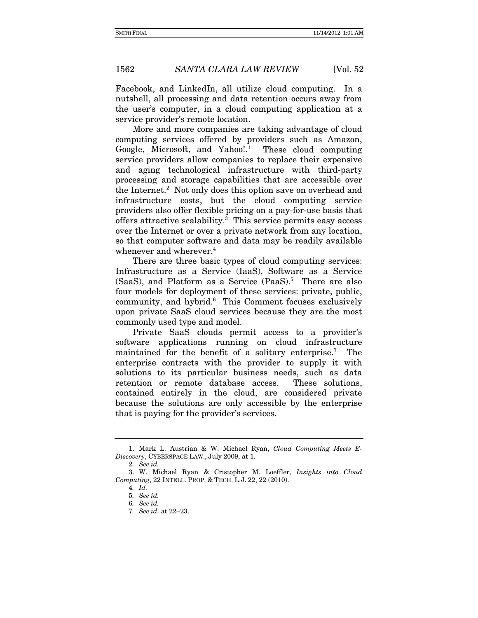Facebook, and LinkedIn, all utilize cloud computing. In a nutshell, all processing and data retention occurs away from the user's computer, in a cloud computing application at a service provider's remote location.

More and more companies are taking advantage of cloud computing services offered by providers such as Amazon, Google, Microsoft, and Yahoo!.<sup>1</sup> These cloud computing service providers allow companies to replace their expensive and aging technological infrastructure with third-party processing and storage capabilities that are accessible over the Internet.<sup>2</sup> Not only does this option save on overhead and infrastructure costs, but the cloud computing service providers also offer flexible pricing on a pay-for-use basis that offers attractive scalability.<sup>3</sup> This service permits easy access over the Internet or over a private network from any location, so that computer software and data may be readily available whenever and wherever.<sup>4</sup>

There are three basic types of cloud computing services: Infrastructure as a Service (IaaS), Software as a Service (SaaS), and Platform as a Service (PaaS).<sup>5</sup> There are also four models for deployment of these services: private, public, community, and hybrid.<sup>6</sup> This Comment focuses exclusively upon private SaaS cloud services because they are the most commonly used type and model.

Private SaaS clouds permit access to a provider's software applications running on cloud infrastructure maintained for the benefit of a solitary enterprise.7 The enterprise contracts with the provider to supply it with solutions to its particular business needs, such as data retention or remote database access. These solutions, contained entirely in the cloud, are considered private because the solutions are only accessible by the enterprise that is paying for the provider's services.

 <sup>1.</sup> Mark L. Austrian & W. Michael Ryan, *Cloud Computing Meets E-Discovery*, CYBERSPACE LAW., July 2009, at 1.

<sup>2</sup>*. See id.*

 <sup>3.</sup> W. Michael Ryan & Cristopher M. Loeffler, *Insights into Cloud Computing*, 22 INTELL. PROP. & TECH. L.J. 22, 22 (2010).

<sup>4</sup>*. Id.*

<sup>5</sup>*. See id.*

<sup>6</sup>*. See id.*

<sup>7</sup>*. See id.* at 22–23.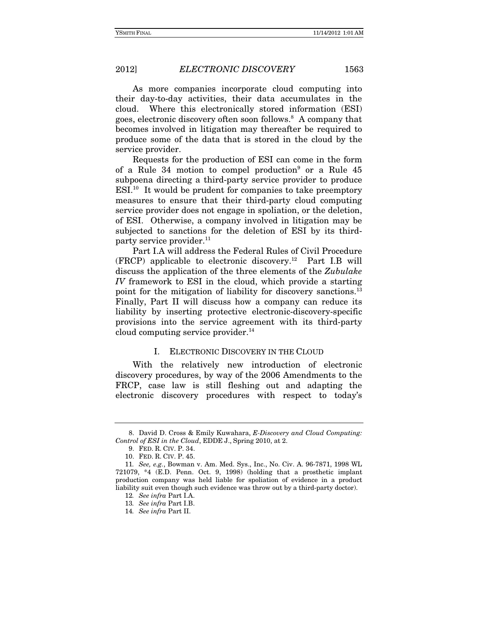As more companies incorporate cloud computing into their day-to-day activities, their data accumulates in the cloud. Where this electronically stored information (ESI) goes, electronic discovery often soon follows.<sup>8</sup> A company that becomes involved in litigation may thereafter be required to produce some of the data that is stored in the cloud by the service provider.

Requests for the production of ESI can come in the form of a Rule 34 motion to compel production<sup>9</sup> or a Rule 45 subpoena directing a third-party service provider to produce ESI.10 It would be prudent for companies to take preemptory measures to ensure that their third-party cloud computing service provider does not engage in spoliation, or the deletion, of ESI. Otherwise, a company involved in litigation may be subjected to sanctions for the deletion of ESI by its thirdparty service provider.<sup>11</sup>

Part I.A will address the Federal Rules of Civil Procedure (FRCP) applicable to electronic discovery.12 Part I.B will discuss the application of the three elements of the *Zubulake IV* framework to ESI in the cloud, which provide a starting point for the mitigation of liability for discovery sanctions.<sup>13</sup> Finally, Part II will discuss how a company can reduce its liability by inserting protective electronic-discovery-specific provisions into the service agreement with its third-party cloud computing service provider. $^{14}$ 

### I. ELECTRONIC DISCOVERY IN THE CLOUD

With the relatively new introduction of electronic discovery procedures, by way of the 2006 Amendments to the FRCP, case law is still fleshing out and adapting the electronic discovery procedures with respect to today's

 <sup>8.</sup> David D. Cross & Emily Kuwahara, *E-Discovery and Cloud Computing: Control of ESI in the Cloud*, EDDE J., Spring 2010, at 2.

 <sup>9.</sup> FED. R. CIV. P. 34.

 <sup>10.</sup> FED. R. CIV. P. 45.

<sup>11</sup>*. See, e.g.*, Bowman v. Am. Med. Sys., Inc., No. Civ. A. 96-7871, 1998 WL 721079, \*4 (E.D. Penn. Oct. 9, 1998) (holding that a prosthetic implant production company was held liable for spoliation of evidence in a product liability suit even though such evidence was throw out by a third-party doctor).

<sup>12</sup>*. See infra* Part I.A.

<sup>13</sup>*. See infra* Part I.B.

<sup>14</sup>*. See infra* Part II.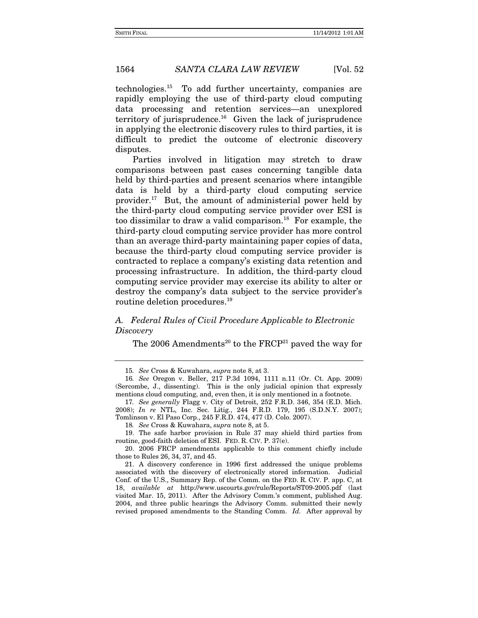technologies.15 To add further uncertainty, companies are rapidly employing the use of third-party cloud computing data processing and retention services—an unexplored territory of jurisprudence. $16$  Given the lack of jurisprudence in applying the electronic discovery rules to third parties, it is difficult to predict the outcome of electronic discovery disputes.

Parties involved in litigation may stretch to draw comparisons between past cases concerning tangible data held by third-parties and present scenarios where intangible data is held by a third-party cloud computing service provider.17 But, the amount of administerial power held by the third-party cloud computing service provider over ESI is too dissimilar to draw a valid comparison.<sup>18</sup> For example, the third-party cloud computing service provider has more control than an average third-party maintaining paper copies of data, because the third-party cloud computing service provider is contracted to replace a company's existing data retention and processing infrastructure. In addition, the third-party cloud computing service provider may exercise its ability to alter or destroy the company's data subject to the service provider's routine deletion procedures.19

### *A. Federal Rules of Civil Procedure Applicable to Electronic Discovery*

The 2006 Amendments<sup>20</sup> to the  $F R C P<sup>21</sup>$  paved the way for

17*. See generally* Flagg v. City of Detroit, 252 F.R.D. 346, 354 (E.D. Mich. 2008); *In re* NTL, Inc. Sec. Litig., 244 F.R.D. 179, 195 (S.D.N.Y. 2007); Tomlinson v. El Paso Corp., 245 F.R.D. 474, 477 (D. Colo. 2007).

18*. See* Cross & Kuwahara, *supra* note 8, at 5.

 19. The safe harbor provision in Rule 37 may shield third parties from routine, good-faith deletion of ESI. FED. R. CIV. P. 37(e).

 20. 2006 FRCP amendments applicable to this comment chiefly include those to Rules 26, 34, 37, and 45.

 21. A discovery conference in 1996 first addressed the unique problems associated with the discovery of electronically stored information. Judicial Conf. of the U.S., Summary Rep. of the Comm. on the FED. R. CIV. P. app. C, at 18, *available at* http://www.uscourts.gov/rule/Reports/ST09-2005.pdf (last visited Mar. 15, 2011). After the Advisory Comm.'s comment, published Aug. 2004, and three public hearings the Advisory Comm. submitted their newly revised proposed amendments to the Standing Comm. *Id.* After approval by

<sup>15</sup>*. See* Cross & Kuwahara, *supra* note 8, at 3.

<sup>16</sup>*. See* Oregon v. Beller, 217 P.3d 1094, 1111 n.11 (Or. Ct. App. 2009) (Sercombe, J., dissenting). This is the only judicial opinion that expressly mentions cloud computing, and, even then, it is only mentioned in a footnote.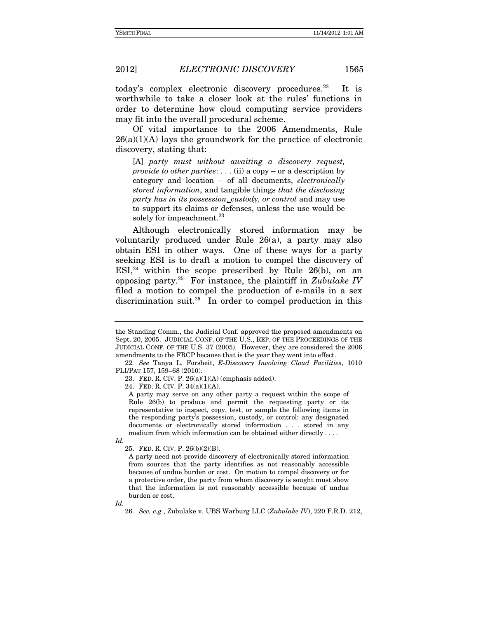today's complex electronic discovery procedures.<sup>22</sup> It is worthwhile to take a closer look at the rules' functions in order to determine how cloud computing service providers may fit into the overall procedural scheme.

Of vital importance to the 2006 Amendments, Rule  $26(a)(1)(A)$  lays the groundwork for the practice of electronic discovery, stating that:

[A] *party must without awaiting a discovery request, provide to other parties*: . . . (ii) a copy – or a description by category and location – of all documents, *electronically stored information*, and tangible things *that the disclosing party has in its possession*, *custody, or control* and may use to support its claims or defenses, unless the use would be solely for impeachment.<sup>23</sup>

Although electronically stored information may be voluntarily produced under Rule 26(a), a party may also obtain ESI in other ways. One of these ways for a party seeking ESI is to draft a motion to compel the discovery of  $ESI<sub>1</sub><sup>24</sup>$  within the scope prescribed by Rule 26(b), on an opposing party.25 For instance, the plaintiff in *Zubulake IV* filed a motion to compel the production of e-mails in a sex discrimination suit.26 In order to compel production in this

the Standing Comm., the Judicial Conf. approved the proposed amendments on Sept. 20, 2005. JUDICIAL CONF. OF THE U.S., REP. OF THE PROCEEDINGS OF THE JUDICIAL CONF. OF THE U.S. 37 (2005). However, they are considered the 2006 amendments to the FRCP because that is the year they went into effect.

<sup>22</sup>*. See* Tanya L. Forsheit, *E-Discovery Involving Cloud Facilities*, 1010 PLI/PAT 157, 159–68 (2010).

<sup>23.</sup> FED. R. CIV. P.  $26(a)(1)(A)$  (emphasis added).

 <sup>24.</sup> FED. R. CIV. P. 34(a)(1)(A).

A party may serve on any other party a request within the scope of Rule 26(b) to produce and permit the requesting party or its representative to inspect, copy, test, or sample the following items in the responding party's possession, custody, or control: any designated documents or electronically stored information . . . stored in any medium from which information can be obtained either directly . . . .

*Id.* 

 <sup>25.</sup> FED. R. CIV. P. 26(b)(2)(B).

A party need not provide discovery of electronically stored information from sources that the party identifies as not reasonably accessible because of undue burden or cost. On motion to compel discovery or for a protective order, the party from whom discovery is sought must show that the information is not reasonably accessible because of undue burden or cost.

*Id.* 

<sup>26</sup>*. See, e.g.*, Zubulake v. UBS Warburg LLC (*Zubulake IV*), 220 F.R.D. 212,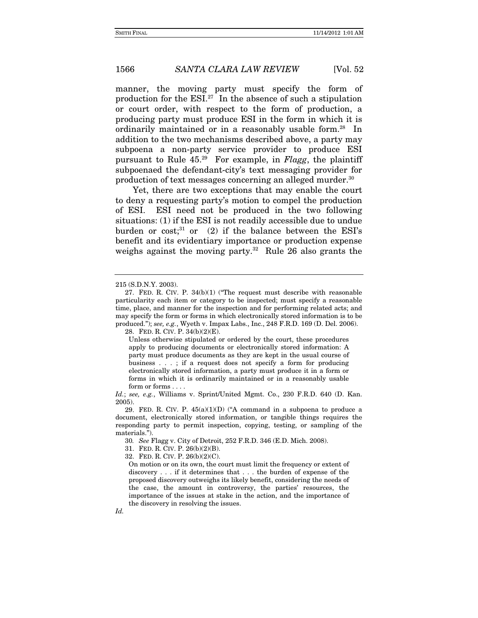manner, the moving party must specify the form of production for the  $ESI<sup>27</sup>$  In the absence of such a stipulation or court order, with respect to the form of production, a producing party must produce ESI in the form in which it is ordinarily maintained or in a reasonably usable form.<sup>28</sup> In addition to the two mechanisms described above, a party may subpoena a non-party service provider to produce ESI pursuant to Rule 45.29 For example, in *Flagg*, the plaintiff subpoenaed the defendant-city's text messaging provider for production of text messages concerning an alleged murder.30

Yet, there are two exceptions that may enable the court to deny a requesting party's motion to compel the production of ESI. ESI need not be produced in the two following situations: (1) if the ESI is not readily accessible due to undue burden or  $cost$ <sup>31</sup>, or (2) if the balance between the ESI's benefit and its evidentiary importance or production expense weighs against the moving party.<sup>32</sup> Rule 26 also grants the

- 31. FED. R. CIV. P. 26(b)(2)(B).
- 32. FED. R. CIV. P. 26(b)(2)(C).

On motion or on its own, the court must limit the frequency or extent of discovery . . . if it determines that . . . the burden of expense of the proposed discovery outweighs its likely benefit, considering the needs of the case, the amount in controversy, the parties' resources, the importance of the issues at stake in the action, and the importance of the discovery in resolving the issues.

<sup>215 (</sup>S.D.N.Y. 2003).

 <sup>27.</sup> FED. R. CIV. P. 34(b)(1) ("The request must describe with reasonable particularity each item or category to be inspected; must specify a reasonable time, place, and manner for the inspection and for performing related acts; and may specify the form or forms in which electronically stored information is to be produced."); *see, e.g.*, Wyeth v. Impax Labs., Inc., 248 F.R.D. 169 (D. Del. 2006).

 <sup>28.</sup> FED. R. CIV. P. 34(b)(2)(E).

Unless otherwise stipulated or ordered by the court, these procedures apply to producing documents or electronically stored information: A party must produce documents as they are kept in the usual course of business . . . ; if a request does not specify a form for producing electronically stored information, a party must produce it in a form or forms in which it is ordinarily maintained or in a reasonably usable form or forms . . . .

*Id.*; *see, e.g.*, Williams v. Sprint/United Mgmt. Co., 230 F.R.D. 640 (D. Kan. 2005).

<sup>29.</sup> FED. R. CIV. P.  $45(a)(1)(D)$  ("A command in a subpoena to produce a document, electronically stored information, or tangible things requires the responding party to permit inspection, copying, testing, or sampling of the materials.").

<sup>30</sup>*. See* Flagg v. City of Detroit, 252 F.R.D. 346 (E.D. Mich. 2008).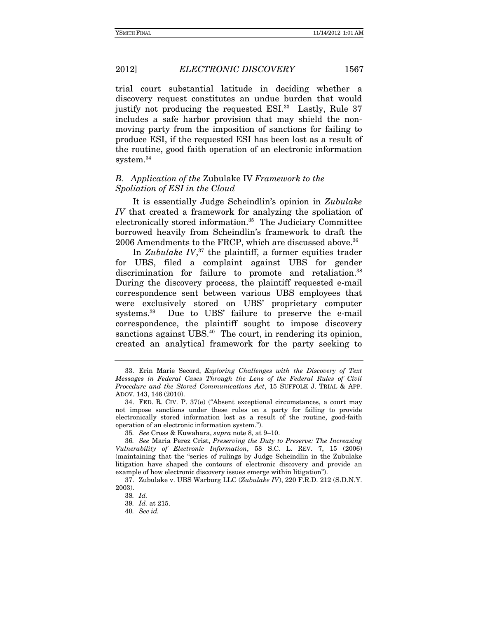trial court substantial latitude in deciding whether a discovery request constitutes an undue burden that would justify not producing the requested ESI.<sup>33</sup> Lastly, Rule 37 includes a safe harbor provision that may shield the nonmoving party from the imposition of sanctions for failing to produce ESI, if the requested ESI has been lost as a result of the routine, good faith operation of an electronic information system.<sup>34</sup>

### *B. Application of the* Zubulake IV *Framework to the Spoliation of ESI in the Cloud*

It is essentially Judge Scheindlin's opinion in *Zubulake IV* that created a framework for analyzing the spoliation of electronically stored information.<sup>35</sup> The Judiciary Committee borrowed heavily from Scheindlin's framework to draft the 2006 Amendments to the FRCP, which are discussed above.<sup>36</sup>

In *Zubulake IV*, 37 the plaintiff, a former equities trader for UBS, filed a complaint against UBS for gender discrimination for failure to promote and retaliation.<sup>38</sup> During the discovery process, the plaintiff requested e-mail correspondence sent between various UBS employees that were exclusively stored on UBS' proprietary computer systems.39 Due to UBS' failure to preserve the e-mail correspondence, the plaintiff sought to impose discovery sanctions against UBS.<sup>40</sup> The court, in rendering its opinion, created an analytical framework for the party seeking to

 <sup>33.</sup> Erin Marie Secord, *Exploring Challenges with the Discovery of Text Messages in Federal Cases Through the Lens of the Federal Rules of Civil Procedure and the Stored Communications Act*, 15 SUFFOLK J. TRIAL & APP. ADOV. 143, 146 (2010).

 <sup>34.</sup> FED. R. CIV. P. 37(e) ("Absent exceptional circumstances, a court may not impose sanctions under these rules on a party for failing to provide electronically stored information lost as a result of the routine, good-faith operation of an electronic information system.").

<sup>35</sup>*. See* Cross & Kuwahara, *supra* note 8, at 9–10.

<sup>36</sup>*. See* Maria Perez Crist, *Preserving the Duty to Preserve: The Increasing Vulnerability of Electronic Information*, 58 S.C. L. REV. 7, 15 (2006) (maintaining that the "series of rulings by Judge Scheindlin in the Zubulake litigation have shaped the contours of electronic discovery and provide an example of how electronic discovery issues emerge within litigation").

 <sup>37.</sup> Zubulake v. UBS Warburg LLC (*Zubulake IV*), 220 F.R.D. 212 (S.D.N.Y. 2003).

<sup>38</sup>*. Id.*

<sup>39</sup>*. Id.* at 215.

<sup>40</sup>*. See id.*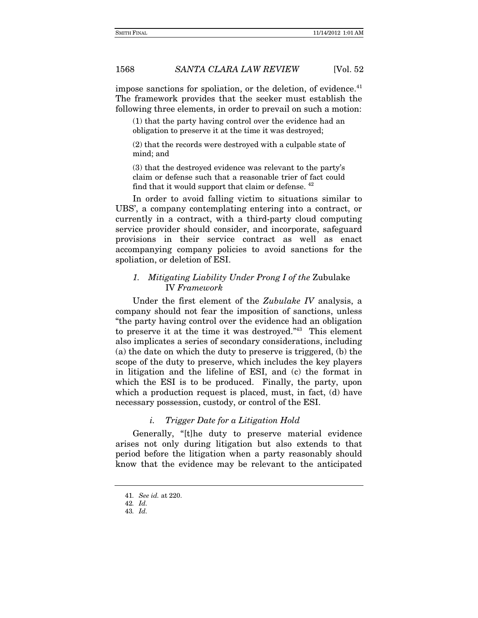impose sanctions for spoliation, or the deletion, of evidence. $41$ The framework provides that the seeker must establish the following three elements, in order to prevail on such a motion:

(1) that the party having control over the evidence had an obligation to preserve it at the time it was destroyed;

(2) that the records were destroyed with a culpable state of mind; and

(3) that the destroyed evidence was relevant to the party's claim or defense such that a reasonable trier of fact could find that it would support that claim or defense. <sup>42</sup>

In order to avoid falling victim to situations similar to UBS', a company contemplating entering into a contract, or currently in a contract, with a third-party cloud computing service provider should consider, and incorporate, safeguard provisions in their service contract as well as enact accompanying company policies to avoid sanctions for the spoliation, or deletion of ESI.

### *1. Mitigating Liability Under Prong I of the* Zubulake IV *Framework*

Under the first element of the *Zubulake IV* analysis, a company should not fear the imposition of sanctions, unless "the party having control over the evidence had an obligation to preserve it at the time it was destroyed."43 This element also implicates a series of secondary considerations, including (a) the date on which the duty to preserve is triggered, (b) the scope of the duty to preserve, which includes the key players in litigation and the lifeline of ESI, and (c) the format in which the ESI is to be produced. Finally, the party, upon which a production request is placed, must, in fact, (d) have necessary possession, custody, or control of the ESI.

### *i. Trigger Date for a Litigation Hold*

Generally, "[t]he duty to preserve material evidence arises not only during litigation but also extends to that period before the litigation when a party reasonably should know that the evidence may be relevant to the anticipated

<sup>41</sup>*. See id.* at 220.

<sup>42</sup>*. Id.*

<sup>43</sup>*. Id.*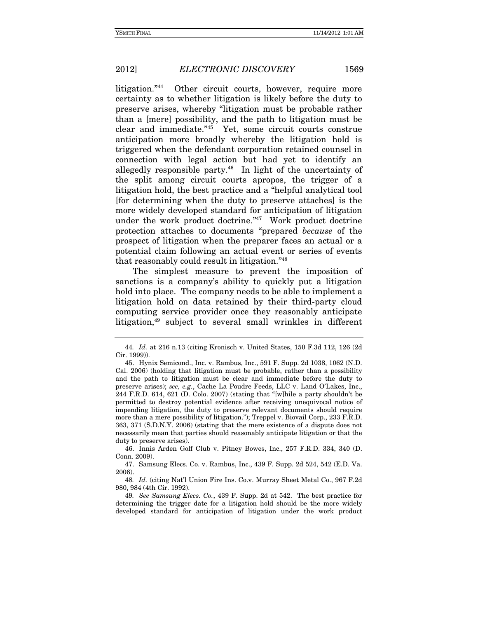litigation."44 Other circuit courts, however, require more certainty as to whether litigation is likely before the duty to preserve arises, whereby "litigation must be probable rather than a [mere] possibility, and the path to litigation must be clear and immediate."45 Yet, some circuit courts construe anticipation more broadly whereby the litigation hold is triggered when the defendant corporation retained counsel in connection with legal action but had yet to identify an allegedly responsible party.<sup>46</sup> In light of the uncertainty of the split among circuit courts apropos, the trigger of a litigation hold, the best practice and a "helpful analytical tool [for determining when the duty to preserve attaches] is the more widely developed standard for anticipation of litigation under the work product doctrine."<sup>47</sup> Work product doctrine protection attaches to documents "prepared *because* of the prospect of litigation when the preparer faces an actual or a potential claim following an actual event or series of events that reasonably could result in litigation."48

The simplest measure to prevent the imposition of sanctions is a company's ability to quickly put a litigation hold into place. The company needs to be able to implement a litigation hold on data retained by their third-party cloud computing service provider once they reasonably anticipate litigation,<sup>49</sup> subject to several small wrinkles in different

 46. Innis Arden Golf Club v. Pitney Bowes, Inc., 257 F.R.D. 334, 340 (D. Conn. 2009).

 47. Samsung Elecs. Co. v. Rambus, Inc., 439 F. Supp. 2d 524, 542 (E.D. Va. 2006).

48*. Id.* (citing Nat'l Union Fire Ins. Co.v. Murray Sheet Metal Co., 967 F.2d 980, 984 (4th Cir. 1992).

49*. See Samsung Elecs. Co.*, 439 F. Supp. 2d at 542. The best practice for determining the trigger date for a litigation hold should be the more widely developed standard for anticipation of litigation under the work product

<sup>44</sup>*. Id.* at 216 n.13 (citing Kronisch v. United States, 150 F.3d 112, 126 (2d Cir. 1999)).

 <sup>45.</sup> Hynix Semicond., Inc. v. Rambus, Inc., 591 F. Supp. 2d 1038, 1062 (N.D. Cal. 2006) (holding that litigation must be probable, rather than a possibility and the path to litigation must be clear and immediate before the duty to preserve arises); *see, e.g.*, Cache La Poudre Feeds, LLC v. Land O'Lakes, Inc., 244 F.R.D. 614, 621 (D. Colo. 2007) (stating that "[w]hile a party shouldn't be permitted to destroy potential evidence after receiving unequivocal notice of impending litigation, the duty to preserve relevant documents should require more than a mere possibility of litigation."); Treppel v. Biovail Corp., 233 F.R.D. 363, 371 (S.D.N.Y. 2006) (stating that the mere existence of a dispute does not necessarily mean that parties should reasonably anticipate litigation or that the duty to preserve arises).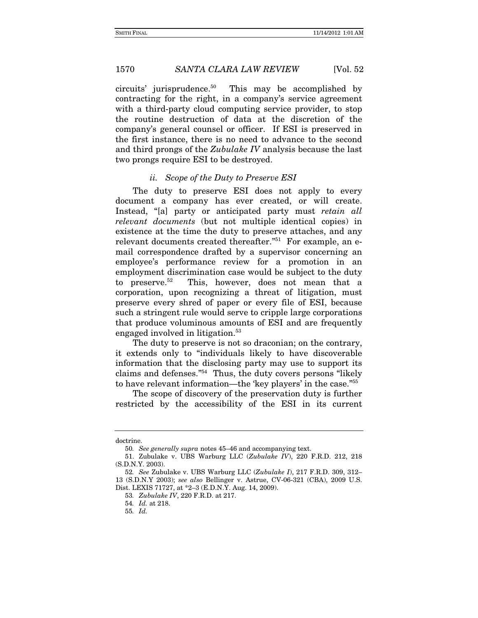circuits' jurisprudence.50 This may be accomplished by contracting for the right, in a company's service agreement with a third-party cloud computing service provider, to stop the routine destruction of data at the discretion of the company's general counsel or officer. If ESI is preserved in the first instance, there is no need to advance to the second and third prongs of the *Zubulake IV* analysis because the last two prongs require ESI to be destroyed.

### *ii. Scope of the Duty to Preserve ESI*

The duty to preserve ESI does not apply to every document a company has ever created, or will create. Instead, "[a] party or anticipated party must *retain all relevant documents* (but not multiple identical copies) in existence at the time the duty to preserve attaches, and any relevant documents created thereafter."51 For example, an email correspondence drafted by a supervisor concerning an employee's performance review for a promotion in an employment discrimination case would be subject to the duty to preserve.52 This, however, does not mean that a corporation, upon recognizing a threat of litigation, must preserve every shred of paper or every file of ESI, because such a stringent rule would serve to cripple large corporations that produce voluminous amounts of ESI and are frequently engaged involved in litigation.<sup>53</sup>

The duty to preserve is not so draconian; on the contrary, it extends only to "individuals likely to have discoverable information that the disclosing party may use to support its claims and defenses."54 Thus, the duty covers persons "likely to have relevant information—the 'key players' in the case."55

The scope of discovery of the preservation duty is further restricted by the accessibility of the ESI in its current

doctrine.

<sup>50</sup>*. See generally supra* notes 45–46 and accompanying text.

 <sup>51.</sup> Zubulake v. UBS Warburg LLC (*Zubulake IV*), 220 F.R.D. 212, 218 (S.D.N.Y. 2003).

<sup>52</sup>*. See* Zubulake v. UBS Warburg LLC (*Zubulake I*), 217 F.R.D. 309, 312– 13 (S.D.N.Y 2003); *see also* Bellinger v. Astrue, CV-06-321 (CBA), 2009 U.S. Dist. LEXIS 71727, at \*2–3 (E.D.N.Y. Aug. 14, 2009).

<sup>53</sup>*. Zubulake IV*, 220 F.R.D. at 217.

<sup>54</sup>*. Id.* at 218.

<sup>55</sup>*. Id.*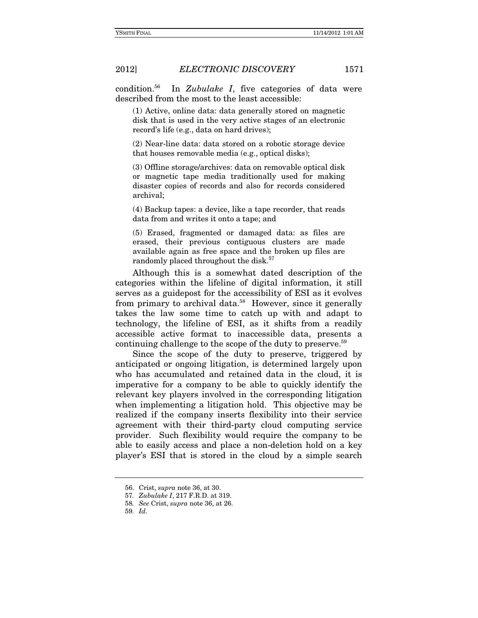condition.56 In *Zubulake I*, five categories of data were described from the most to the least accessible:

(1) Active, online data: data generally stored on magnetic disk that is used in the very active stages of an electronic record's life (e.g., data on hard drives);

(2) Near-line data: data stored on a robotic storage device that houses removable media (e.g., optical disks);

(3) Offline storage/archives: data on removable optical disk or magnetic tape media traditionally used for making disaster copies of records and also for records considered archival;

(4) Backup tapes: a device, like a tape recorder, that reads data from and writes it onto a tape; and

(5) Erased, fragmented or damaged data: as files are erased, their previous contiguous clusters are made available again as free space and the broken up files are randomly placed throughout the disk.<sup>57</sup>

Although this is a somewhat dated description of the categories within the lifeline of digital information, it still serves as a guidepost for the accessibility of ESI as it evolves from primary to archival data.<sup>58</sup> However, since it generally takes the law some time to catch up with and adapt to technology, the lifeline of ESI, as it shifts from a readily accessible active format to inaccessible data, presents a continuing challenge to the scope of the duty to preserve.59

Since the scope of the duty to preserve, triggered by anticipated or ongoing litigation, is determined largely upon who has accumulated and retained data in the cloud, it is imperative for a company to be able to quickly identify the relevant key players involved in the corresponding litigation when implementing a litigation hold. This objective may be realized if the company inserts flexibility into their service agreement with their third-party cloud computing service provider. Such flexibility would require the company to be able to easily access and place a non-deletion hold on a key player's ESI that is stored in the cloud by a simple search

 <sup>56.</sup> Crist, *supra* note 36, at 30.

<sup>57</sup>*. Zubulake I*, 217 F.R.D. at 319.

<sup>58</sup>*. See* Crist, *supra* note 36, at 26.

<sup>59</sup>*. Id.*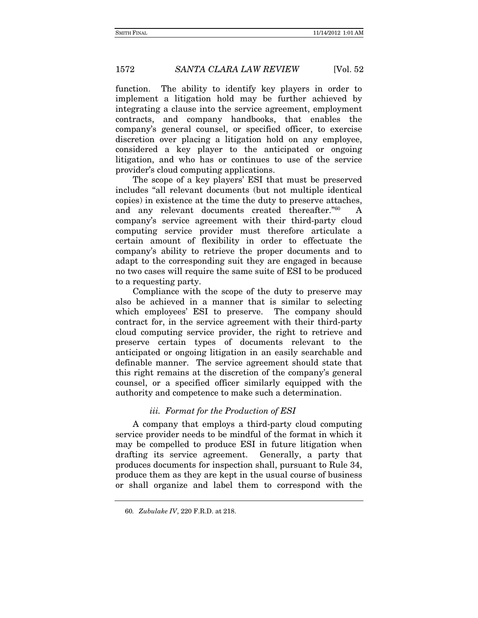function. The ability to identify key players in order to implement a litigation hold may be further achieved by integrating a clause into the service agreement, employment contracts, and company handbooks, that enables the company's general counsel, or specified officer, to exercise discretion over placing a litigation hold on any employee, considered a key player to the anticipated or ongoing litigation, and who has or continues to use of the service provider's cloud computing applications.

The scope of a key players' ESI that must be preserved includes "all relevant documents (but not multiple identical copies) in existence at the time the duty to preserve attaches, and any relevant documents created thereafter."60 A company's service agreement with their third-party cloud computing service provider must therefore articulate a certain amount of flexibility in order to effectuate the company's ability to retrieve the proper documents and to adapt to the corresponding suit they are engaged in because no two cases will require the same suite of ESI to be produced to a requesting party.

Compliance with the scope of the duty to preserve may also be achieved in a manner that is similar to selecting which employees' ESI to preserve. The company should contract for, in the service agreement with their third-party cloud computing service provider, the right to retrieve and preserve certain types of documents relevant to the anticipated or ongoing litigation in an easily searchable and definable manner. The service agreement should state that this right remains at the discretion of the company's general counsel, or a specified officer similarly equipped with the authority and competence to make such a determination.

### *iii. Format for the Production of ESI*

A company that employs a third-party cloud computing service provider needs to be mindful of the format in which it may be compelled to produce ESI in future litigation when drafting its service agreement. Generally, a party that produces documents for inspection shall, pursuant to Rule 34, produce them as they are kept in the usual course of business or shall organize and label them to correspond with the

<sup>60</sup>*. Zubulake IV*, 220 F.R.D. at 218.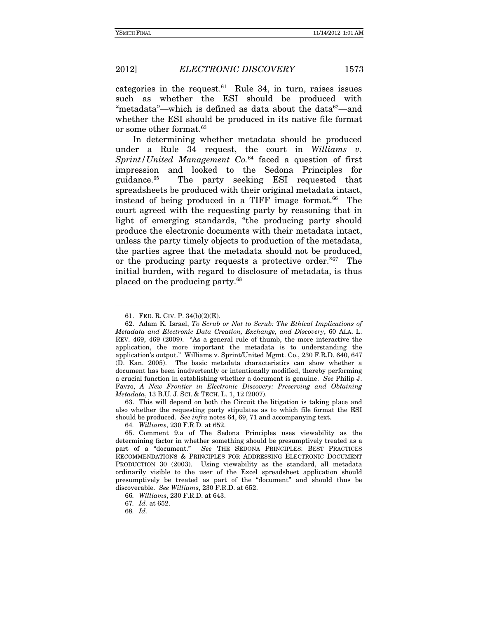categories in the request. $61$  Rule 34, in turn, raises issues such as whether the ESI should be produced with "metadata"—which is defined as data about the data $62$ —and whether the ESI should be produced in its native file format or some other format.<sup>63</sup>

In determining whether metadata should be produced under a Rule 34 request, the court in *Williams v. Sprint/United Management Co.*64 faced a question of first impression and looked to the Sedona Principles for guidance.65 The party seeking ESI requested that spreadsheets be produced with their original metadata intact, instead of being produced in a TIFF image format.<sup>66</sup> The court agreed with the requesting party by reasoning that in light of emerging standards, "the producing party should produce the electronic documents with their metadata intact, unless the party timely objects to production of the metadata, the parties agree that the metadata should not be produced, or the producing party requests a protective order."67 The initial burden, with regard to disclosure of metadata, is thus placed on the producing party.68

 63. This will depend on both the Circuit the litigation is taking place and also whether the requesting party stipulates as to which file format the ESI should be produced. *See infra* notes 64, 69, 71 and accompanying text.

64*. Williams*, 230 F.R.D. at 652.

 <sup>61.</sup> FED. R. CIV. P. 34(b)(2)(E).

 <sup>62.</sup> Adam K. Israel, *To Scrub or Not to Scrub: The Ethical Implications of Metadata and Electronic Data Creation, Exchange, and Discovery*, 60 ALA. L. REV. 469, 469 (2009). "As a general rule of thumb, the more interactive the application, the more important the metadata is to understanding the application's output." Williams v. Sprint/United Mgmt. Co., 230 F.R.D. 640, 647 (D. Kan. 2005). The basic metadata characteristics can show whether a document has been inadvertently or intentionally modified, thereby performing a crucial function in establishing whether a document is genuine. *See* Philip J. Favro, *A New Frontier in Electronic Discovery: Preserving and Obtaining Metadata*, 13 B.U. J. SCI. & TECH. L. 1, 12 (2007).

 <sup>65.</sup> Comment 9.a of The Sedona Principles uses viewability as the determining factor in whether something should be presumptively treated as a part of a "document." *See* THE SEDONA PRINCIPLES: BEST PRACTICES RECOMMENDATIONS & PRINCIPLES FOR ADDRESSING ELECTRONIC DOCUMENT PRODUCTION 30 (2003). Using viewability as the standard, all metadata ordinarily visible to the user of the Excel spreadsheet application should presumptively be treated as part of the "document" and should thus be discoverable. *See Williams*, 230 F.R.D. at 652.

<sup>66</sup>*. Williams*, 230 F.R.D. at 643.

<sup>67</sup>*. Id.* at 652.

<sup>68</sup>*. Id.*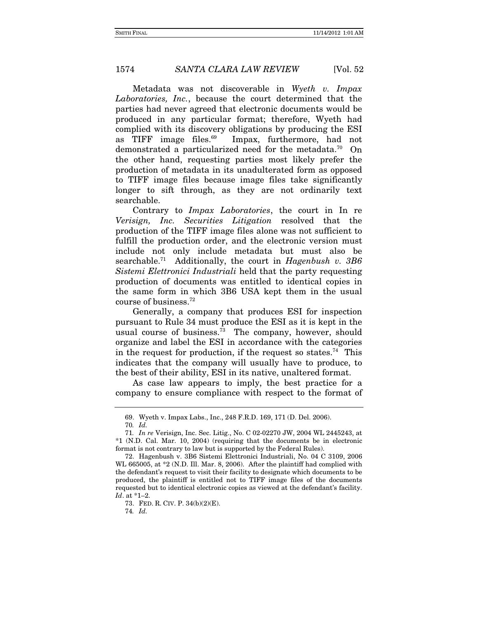Metadata was not discoverable in *Wyeth v. Impax Laboratories, Inc.*, because the court determined that the parties had never agreed that electronic documents would be produced in any particular format; therefore, Wyeth had complied with its discovery obligations by producing the ESI as TIFF image files.<sup>69</sup> Impax, furthermore, had not demonstrated a particularized need for the metadata.<sup>70</sup> On the other hand, requesting parties most likely prefer the production of metadata in its unadulterated form as opposed to TIFF image files because image files take significantly longer to sift through, as they are not ordinarily text searchable.

Contrary to *Impax Laboratories*, the court in In re *Verisign, Inc. Securities Litigation* resolved that the production of the TIFF image files alone was not sufficient to fulfill the production order, and the electronic version must include not only include metadata but must also be searchable.71 Additionally, the court in *Hagenbush v. 3B6 Sistemi Elettronici Industriali* held that the party requesting production of documents was entitled to identical copies in the same form in which 3B6 USA kept them in the usual course of business.72

Generally, a company that produces ESI for inspection pursuant to Rule 34 must produce the ESI as it is kept in the usual course of business.73 The company, however, should organize and label the ESI in accordance with the categories in the request for production, if the request so states.<sup>74</sup> This indicates that the company will usually have to produce, to the best of their ability, ESI in its native, unaltered format.

As case law appears to imply, the best practice for a company to ensure compliance with respect to the format of

 <sup>69.</sup> Wyeth v. Impax Labs., Inc., 248 F.R.D. 169, 171 (D. Del. 2006).

<sup>70</sup>*. Id.*

<sup>71</sup>*. In re* Verisign, Inc. Sec. Litig., No. C 02-02270 JW, 2004 WL 2445243, at \*1 (N.D. Cal. Mar. 10, 2004) (requiring that the documents be in electronic format is not contrary to law but is supported by the Federal Rules).

 <sup>72.</sup> Hagenbush v. 3B6 Sistemi Elettronici Industriali, No. 04 C 3109, 2006 WL 665005, at \*2 (N.D. Ill. Mar. 8, 2006). After the plaintiff had complied with the defendant's request to visit their facility to designate which documents to be produced, the plaintiff is entitled not to TIFF image files of the documents requested but to identical electronic copies as viewed at the defendant's facility. *Id*. at \*1–2.

 <sup>73.</sup> FED. R. CIV. P. 34(b)(2)(E).

<sup>74</sup>*. Id.*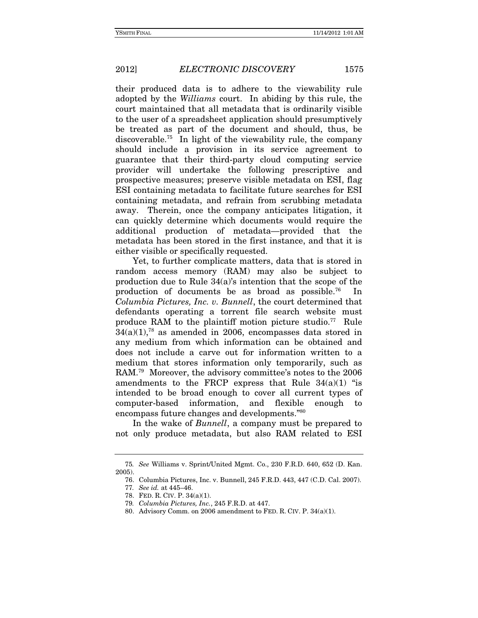their produced data is to adhere to the viewability rule adopted by the *Williams* court. In abiding by this rule, the court maintained that all metadata that is ordinarily visible to the user of a spreadsheet application should presumptively be treated as part of the document and should, thus, be discoverable.75 In light of the viewability rule, the company should include a provision in its service agreement to guarantee that their third-party cloud computing service provider will undertake the following prescriptive and prospective measures; preserve visible metadata on ESI, flag ESI containing metadata to facilitate future searches for ESI containing metadata, and refrain from scrubbing metadata away. Therein, once the company anticipates litigation, it can quickly determine which documents would require the additional production of metadata—provided that the metadata has been stored in the first instance, and that it is either visible or specifically requested.

Yet, to further complicate matters, data that is stored in random access memory (RAM) may also be subject to production due to Rule 34(a)'s intention that the scope of the production of documents be as broad as possible.76 In *Columbia Pictures, Inc. v. Bunnell*, the court determined that defendants operating a torrent file search website must produce RAM to the plaintiff motion picture studio.77 Rule  $34(a)(1)$ ,<sup>78</sup> as amended in 2006, encompasses data stored in any medium from which information can be obtained and does not include a carve out for information written to a medium that stores information only temporarily, such as RAM.79 Moreover, the advisory committee's notes to the 2006 amendments to the FRCP express that Rule  $34(a)(1)$  "is intended to be broad enough to cover all current types of computer-based information, and flexible enough to encompass future changes and developments."80

In the wake of *Bunnell*, a company must be prepared to not only produce metadata, but also RAM related to ESI

<sup>75</sup>*. See* Williams v. Sprint/United Mgmt. Co., 230 F.R.D. 640, 652 (D. Kan. 2005).

 <sup>76.</sup> Columbia Pictures, Inc. v. Bunnell, 245 F.R.D. 443, 447 (C.D. Cal. 2007). 77*. See id.* at 445–46.

 <sup>78.</sup> FED. R. CIV. P. 34(a)(1).

<sup>79</sup>*. Columbia Pictures, Inc.*, 245 F.R.D. at 447.

 <sup>80.</sup> Advisory Comm. on 2006 amendment to FED. R. CIV. P. 34(a)(1).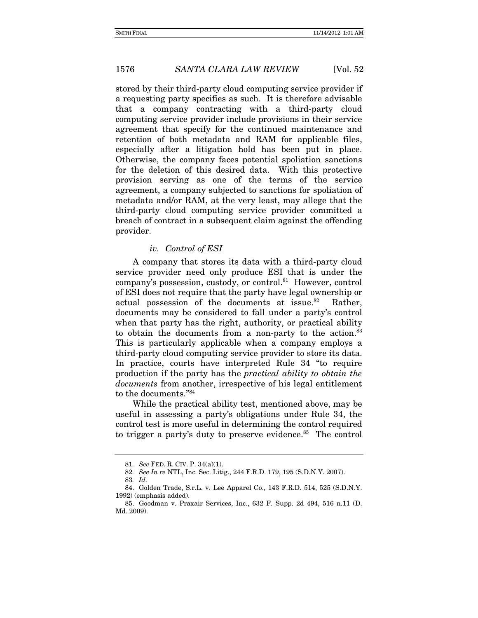stored by their third-party cloud computing service provider if a requesting party specifies as such. It is therefore advisable that a company contracting with a third-party cloud computing service provider include provisions in their service agreement that specify for the continued maintenance and retention of both metadata and RAM for applicable files, especially after a litigation hold has been put in place. Otherwise, the company faces potential spoliation sanctions for the deletion of this desired data. With this protective provision serving as one of the terms of the service agreement, a company subjected to sanctions for spoliation of metadata and/or RAM, at the very least, may allege that the third-party cloud computing service provider committed a breach of contract in a subsequent claim against the offending provider.

### *iv. Control of ESI*

A company that stores its data with a third-party cloud service provider need only produce ESI that is under the company's possession, custody, or control.81 However, control of ESI does not require that the party have legal ownership or actual possession of the documents at issue.<sup>82</sup> Rather, documents may be considered to fall under a party's control when that party has the right, authority, or practical ability to obtain the documents from a non-party to the action.<sup>83</sup> This is particularly applicable when a company employs a third-party cloud computing service provider to store its data. In practice, courts have interpreted Rule 34 "to require production if the party has the *practical ability to obtain the documents* from another, irrespective of his legal entitlement to the documents."84

While the practical ability test, mentioned above, may be useful in assessing a party's obligations under Rule 34, the control test is more useful in determining the control required to trigger a party's duty to preserve evidence.<sup>85</sup> The control

<sup>81</sup>*. See* FED. R. CIV. P. 34(a)(1).

<sup>82</sup>*. See In re* NTL, Inc. Sec. Litig., 244 F.R.D. 179, 195 (S.D.N.Y. 2007).

<sup>83</sup>*. Id.*

 <sup>84.</sup> Golden Trade, S.r.L. v. Lee Apparel Co., 143 F.R.D. 514, 525 (S.D.N.Y. 1992) (emphasis added).

 <sup>85.</sup> Goodman v. Praxair Services, Inc., 632 F. Supp. 2d 494, 516 n.11 (D. Md. 2009).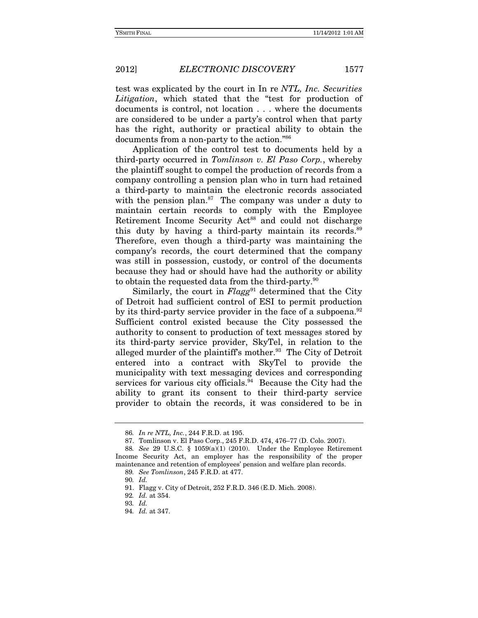test was explicated by the court in In re *NTL, Inc. Securities Litigation*, which stated that the "test for production of documents is control, not location . . . where the documents are considered to be under a party's control when that party has the right, authority or practical ability to obtain the documents from a non-party to the action."86

Application of the control test to documents held by a third-party occurred in *Tomlinson v. El Paso Corp.*, whereby the plaintiff sought to compel the production of records from a company controlling a pension plan who in turn had retained a third-party to maintain the electronic records associated with the pension plan.<sup>87</sup> The company was under a duty to maintain certain records to comply with the Employee Retirement Income Security Act<sup>88</sup> and could not discharge this duty by having a third-party maintain its records.89 Therefore, even though a third-party was maintaining the company's records, the court determined that the company was still in possession, custody, or control of the documents because they had or should have had the authority or ability to obtain the requested data from the third-party.<sup>90</sup>

Similarly, the court in *Flagg*<sup>91</sup> determined that the City of Detroit had sufficient control of ESI to permit production by its third-party service provider in the face of a subpoena.<sup>92</sup> Sufficient control existed because the City possessed the authority to consent to production of text messages stored by its third-party service provider, SkyTel, in relation to the alleged murder of the plaintiff's mother.<sup>93</sup> The City of Detroit entered into a contract with SkyTel to provide the municipality with text messaging devices and corresponding services for various city officials.<sup>94</sup> Because the City had the ability to grant its consent to their third-party service provider to obtain the records, it was considered to be in

<sup>86</sup>*. In re NTL, Inc.*, 244 F.R.D. at 195.

 <sup>87.</sup> Tomlinson v. El Paso Corp., 245 F.R.D. 474, 476–77 (D. Colo. 2007).

<sup>88</sup>*. See* 29 U.S.C. § 1059(a)(1) (2010). Under the Employee Retirement Income Security Act, an employer has the responsibility of the proper maintenance and retention of employees' pension and welfare plan records.

<sup>89</sup>*. See Tomlinson*, 245 F.R.D. at 477.

<sup>90</sup>*. Id.*

 <sup>91.</sup> Flagg v. City of Detroit, 252 F.R.D. 346 (E.D. Mich. 2008).

<sup>92</sup>*. Id.* at 354.

<sup>93</sup>*. Id.*

<sup>94</sup>*. Id.* at 347.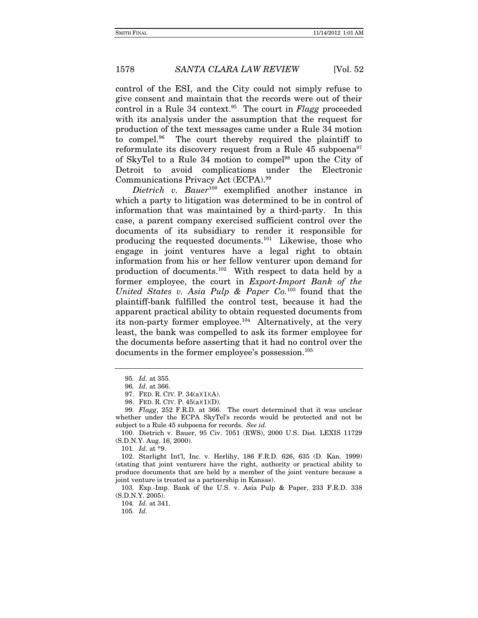control of the ESI, and the City could not simply refuse to give consent and maintain that the records were out of their control in a Rule 34 context.95 The court in *Flagg* proceeded with its analysis under the assumption that the request for production of the text messages came under a Rule 34 motion to compel.96 The court thereby required the plaintiff to reformulate its discovery request from a Rule  $45 \text{ subpoena}^{97}$ of SkyTel to a Rule 34 motion to compel98 upon the City of Detroit to avoid complications under the Electronic Communications Privacy Act (ECPA).99

*Dietrich v. Bauer*100 exemplified another instance in which a party to litigation was determined to be in control of information that was maintained by a third-party. In this case, a parent company exercised sufficient control over the documents of its subsidiary to render it responsible for producing the requested documents.101 Likewise, those who engage in joint ventures have a legal right to obtain information from his or her fellow venturer upon demand for production of documents.102 With respect to data held by a former employee, the court in *Export-Import Bank of the United States v. Asia Pulp & Paper Co.*103 found that the plaintiff-bank fulfilled the control test, because it had the apparent practical ability to obtain requested documents from its non-party former employee.104 Alternatively, at the very least, the bank was compelled to ask its former employee for the documents before asserting that it had no control over the documents in the former employee's possession.<sup>105</sup>

101*. Id.* at \*9.

 103. Exp.-Imp. Bank of the U.S. v. Asia Pulp & Paper, 233 F.R.D. 338 (S.D.N.Y. 2005).

104*. Id.* at 341.

<sup>95</sup>*. Id.* at 355.

<sup>96</sup>*. Id.* at 366.

 <sup>97.</sup> FED. R. CIV. P. 34(a)(1)(A).

 <sup>98.</sup> FED. R. CIV. P. 45(a)(1)(D).

<sup>99</sup>*. Flagg*, 252 F.R.D. at 366. The court determined that it was unclear whether under the ECPA SkyTel's records would be protected and not be subject to a Rule 45 subpoena for records. *See id.*

 <sup>100.</sup> Dietrich v. Bauer, 95 Civ. 7051 (RWS), 2000 U.S. Dist. LEXIS 11729 (S.D.N.Y. Aug. 16, 2000).

 <sup>102.</sup> Starlight Int'l, Inc. v. Herlihy, 186 F.R.D. 626, 635 (D. Kan. 1999) (stating that joint venturers have the right, authority or practical ability to produce documents that are held by a member of the joint venture because a joint venture is treated as a partnership in Kansas).

<sup>105</sup>*. Id.*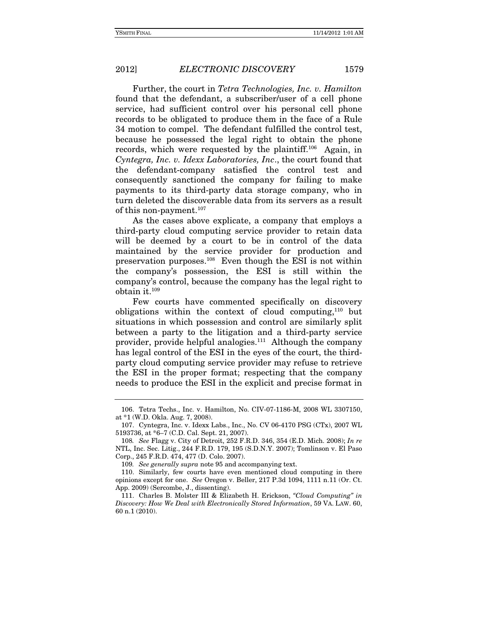Further, the court in *Tetra Technologies, Inc. v. Hamilton*  found that the defendant, a subscriber/user of a cell phone service, had sufficient control over his personal cell phone records to be obligated to produce them in the face of a Rule 34 motion to compel. The defendant fulfilled the control test, because he possessed the legal right to obtain the phone records, which were requested by the plaintiff.<sup>106</sup> Again, in *Cyntegra, Inc. v. Idexx Laboratories, Inc*., the court found that the defendant-company satisfied the control test and consequently sanctioned the company for failing to make payments to its third-party data storage company, who in turn deleted the discoverable data from its servers as a result of this non-payment.<sup>107</sup>

As the cases above explicate, a company that employs a third-party cloud computing service provider to retain data will be deemed by a court to be in control of the data maintained by the service provider for production and preservation purposes.108 Even though the ESI is not within the company's possession, the ESI is still within the company's control, because the company has the legal right to obtain it.109

Few courts have commented specifically on discovery obligations within the context of cloud computing,110 but situations in which possession and control are similarly split between a party to the litigation and a third-party service provider, provide helpful analogies.<sup>111</sup> Although the company has legal control of the ESI in the eyes of the court, the thirdparty cloud computing service provider may refuse to retrieve the ESI in the proper format; respecting that the company needs to produce the ESI in the explicit and precise format in

 <sup>106.</sup> Tetra Techs., Inc. v. Hamilton, No. CIV-07-1186-M, 2008 WL 3307150, at \*1 (W.D. Okla. Aug. 7, 2008).

 <sup>107.</sup> Cyntegra, Inc. v. Idexx Labs., Inc., No. CV 06-4170 PSG (CTx), 2007 WL 5193736, at \*6–7 (C.D. Cal. Sept. 21, 2007).

<sup>108</sup>*. See* Flagg v. City of Detroit, 252 F.R.D. 346, 354 (E.D. Mich. 2008); *In re* NTL, Inc. Sec. Litig., 244 F.R.D. 179, 195 (S.D.N.Y. 2007); Tomlinson v. El Paso Corp., 245 F.R.D. 474, 477 (D. Colo. 2007).

<sup>109</sup>*. See generally supra* note 95 and accompanying text.

 <sup>110.</sup> Similarly, few courts have even mentioned cloud computing in there opinions except for one. *See* Oregon v. Beller, 217 P.3d 1094, 1111 n.11 (Or. Ct. App. 2009) (Sercombe, J., dissenting).

 <sup>111.</sup> Charles B. Molster III & Elizabeth H. Erickson, *"Cloud Computing" in Discovery: How We Deal with Electronically Stored Information*, 59 VA. LAW. 60, 60 n.1 (2010).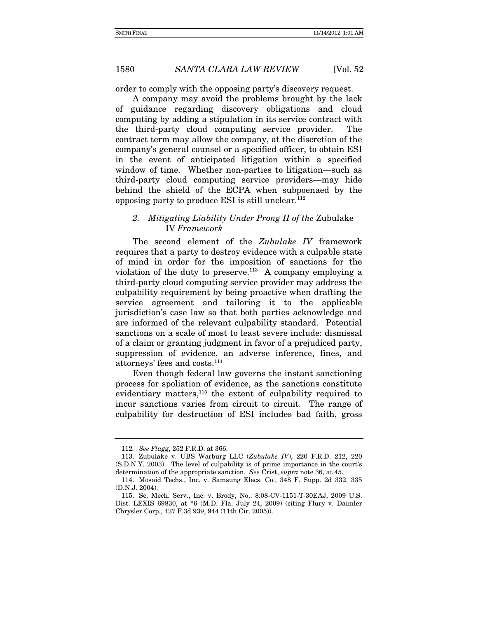order to comply with the opposing party's discovery request.

A company may avoid the problems brought by the lack of guidance regarding discovery obligations and cloud computing by adding a stipulation in its service contract with the third-party cloud computing service provider. The contract term may allow the company, at the discretion of the company's general counsel or a specified officer, to obtain ESI in the event of anticipated litigation within a specified window of time. Whether non-parties to litigation—such as third-party cloud computing service providers—may hide behind the shield of the ECPA when subpoenaed by the opposing party to produce ESI is still unclear. $112$ 

### *2. Mitigating Liability Under Prong II of the* Zubulake IV *Framework*

The second element of the *Zubulake IV* framework requires that a party to destroy evidence with a culpable state of mind in order for the imposition of sanctions for the violation of the duty to preserve.113 A company employing a third-party cloud computing service provider may address the culpability requirement by being proactive when drafting the service agreement and tailoring it to the applicable jurisdiction's case law so that both parties acknowledge and are informed of the relevant culpability standard. Potential sanctions on a scale of most to least severe include: dismissal of a claim or granting judgment in favor of a prejudiced party, suppression of evidence, an adverse inference, fines, and attorneys' fees and costs.114

Even though federal law governs the instant sanctioning process for spoliation of evidence, as the sanctions constitute evidentiary matters,<sup>115</sup> the extent of culpability required to incur sanctions varies from circuit to circuit. The range of culpability for destruction of ESI includes bad faith, gross

<sup>112</sup>*. See Flagg*, 252 F.R.D. at 366.

 <sup>113.</sup> Zubulake v. UBS Warburg LLC (*Zubulake IV*), 220 F.R.D. 212, 220 (S.D.N.Y. 2003). The level of culpability is of prime importance in the court's determination of the appropriate sanction. *See* Crist, *supra* note 36, at 45.

 <sup>114.</sup> Mosaid Techs., Inc. v. Samsung Elecs. Co., 348 F. Supp. 2d 332, 335 (D.N.J. 2004).

 <sup>115.</sup> Se. Mech. Serv., Inc. v. Brody, No.: 8:08-CV-1151-T-30EAJ, 2009 U.S. Dist. LEXIS 69830, at \*6 (M.D. Fla. July 24, 2009) (citing Flury v. Daimler Chrysler Corp., 427 F.3d 939, 944 (11th Cir. 2005)).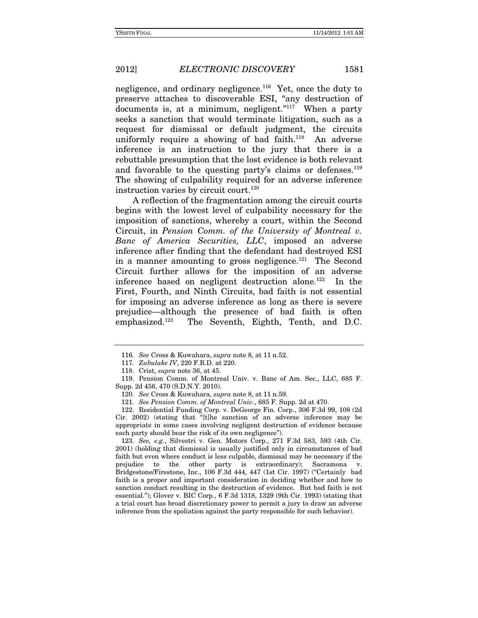negligence, and ordinary negligence.<sup>116</sup> Yet, once the duty to preserve attaches to discoverable ESI, "any destruction of documents is, at a minimum, negligent."<sup>117</sup> When a party seeks a sanction that would terminate litigation, such as a request for dismissal or default judgment, the circuits uniformly require a showing of bad faith. $118$  An adverse inference is an instruction to the jury that there is a rebuttable presumption that the lost evidence is both relevant and favorable to the questing party's claims or defenses.<sup>119</sup> The showing of culpability required for an adverse inference instruction varies by circuit court.<sup>120</sup>

A reflection of the fragmentation among the circuit courts begins with the lowest level of culpability necessary for the imposition of sanctions, whereby a court, within the Second Circuit, in *Pension Comm. of the University of Montreal v. Banc of America Securities, LLC*, imposed an adverse inference after finding that the defendant had destroyed ESI in a manner amounting to gross negligence.<sup>121</sup> The Second Circuit further allows for the imposition of an adverse inference based on negligent destruction alone.<sup>122</sup> In the First, Fourth, and Ninth Circuits, bad faith is not essential for imposing an adverse inference as long as there is severe prejudice—although the presence of bad faith is often emphasized.123 The Seventh, Eighth, Tenth, and D.C.

123*. See, e.g.*, Silvestri v. Gen. Motors Corp., 271 F.3d 583, 593 (4th Cir. 2001) (holding that dismissal is usually justified only in circumstances of bad faith but even where conduct is less culpable, dismissal may be necessary if the prejudice to the other party is extraordinary); Sacramona v. Bridgestone/Firestone, Inc., 106 F.3d 444, 447 (1st Cir. 1997) ("Certainly bad faith is a proper and important consideration in deciding whether and how to sanction conduct resulting in the destruction of evidence. But bad faith is not essential."); Glover v. BIC Corp., 6 F.3d 1318, 1329 (9th Cir. 1993) (stating that a trial court has broad discretionary power to permit a jury to draw an adverse inference from the spoliation against the party responsible for such behavior).

<sup>116</sup>*. See* Cross & Kuwahara, *supra* note 8, at 11 n.52.

<sup>117</sup>*. Zubulake IV*, 220 F.R.D. at 220.

 <sup>118.</sup> Crist, *supra* note 36, at 45.

 <sup>119.</sup> Pension Comm. of Montreal Univ. v. Banc of Am. Sec., LLC, 685 F. Supp. 2d 456, 470 (S.D.N.Y. 2010).

<sup>120</sup>*. See* Cross & Kuwahara, *supra* note 8, at 11 n.59.

<sup>121</sup>*. See Pension Comm. of Montreal Univ.*, 685 F. Supp. 2d at 470.

 <sup>122.</sup> Residential Funding Corp. v. DeGeorge Fin. Corp., 306 F.3d 99, 108 (2d Cir. 2002) (stating that "[t]he sanction of an adverse inference may be appropriate in some cases involving negligent destruction of evidence because each party should bear the risk of its own negligence").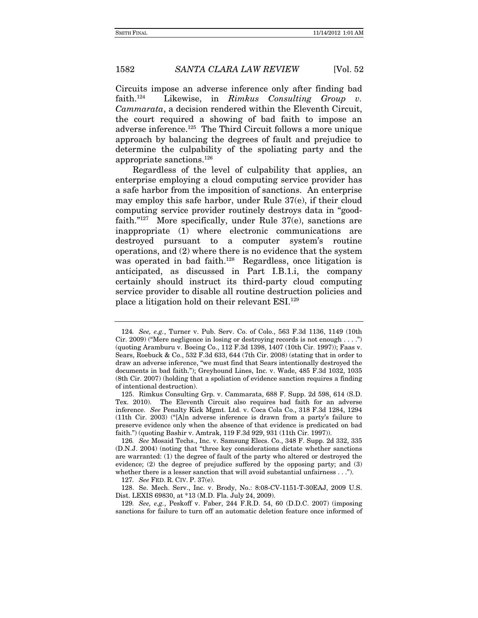Circuits impose an adverse inference only after finding bad faith.124 Likewise, in *Rimkus Consulting Group v. Cammarata*, a decision rendered within the Eleventh Circuit, the court required a showing of bad faith to impose an adverse inference.125 The Third Circuit follows a more unique approach by balancing the degrees of fault and prejudice to determine the culpability of the spoliating party and the appropriate sanctions.126

Regardless of the level of culpability that applies, an enterprise employing a cloud computing service provider has a safe harbor from the imposition of sanctions. An enterprise may employ this safe harbor, under Rule 37(e), if their cloud computing service provider routinely destroys data in "goodfaith."<sup>127</sup> More specifically, under Rule 37(e), sanctions are inappropriate (1) where electronic communications are destroyed pursuant to a computer system's routine operations, and (2) where there is no evidence that the system was operated in bad faith.<sup>128</sup> Regardless, once litigation is anticipated, as discussed in Part I.B.1.i, the company certainly should instruct its third-party cloud computing service provider to disable all routine destruction policies and place a litigation hold on their relevant ESI.129

<sup>124</sup>*. See, e.g.*, Turner v. Pub. Serv. Co. of Colo., 563 F.3d 1136, 1149 (10th Cir. 2009) ("Mere negligence in losing or destroying records is not enough . . . .") (quoting Aramburu v. Boeing Co., 112 F.3d 1398, 1407 (10th Cir. 1997)); Faas v. Sears, Roebuck & Co., 532 F.3d 633, 644 (7th Cir. 2008) (stating that in order to draw an adverse inference, "we must find that Sears intentionally destroyed the documents in bad faith."); Greyhound Lines, Inc. v. Wade, 485 F.3d 1032, 1035 (8th Cir. 2007) (holding that a spoliation of evidence sanction requires a finding of intentional destruction).

 <sup>125.</sup> Rimkus Consulting Grp. v. Cammarata, 688 F. Supp. 2d 598, 614 (S.D. Tex. 2010). The Eleventh Circuit also requires bad faith for an adverse inference. *See* Penalty Kick Mgmt. Ltd. v. Coca Cola Co., 318 F.3d 1284, 1294 (11th Cir. 2003) ("[A]n adverse inference is drawn from a party's failure to preserve evidence only when the absence of that evidence is predicated on bad faith.") (quoting Bashir v. Amtrak, 119 F.3d 929, 931 (11th Cir. 1997)).

<sup>126</sup>*. See* Mosaid Techs., Inc. v. Samsung Elecs. Co., 348 F. Supp. 2d 332, 335 (D.N.J. 2004) (noting that "three key considerations dictate whether sanctions are warranted: (1) the degree of fault of the party who altered or destroyed the evidence; (2) the degree of prejudice suffered by the opposing party; and (3) whether there is a lesser sanction that will avoid substantial unfairness . . .").

<sup>127</sup>*. See* FED. R. CIV. P. 37(e).

 <sup>128.</sup> Se. Mech. Serv., Inc. v. Brody, No.: 8:08-CV-1151-T-30EAJ, 2009 U.S. Dist. LEXIS 69830, at \*13 (M.D. Fla. July 24, 2009).

<sup>129</sup>*. See, e.g.*, Peskoff v. Faber, 244 F.R.D. 54, 60 (D.D.C. 2007) (imposing sanctions for failure to turn off an automatic deletion feature once informed of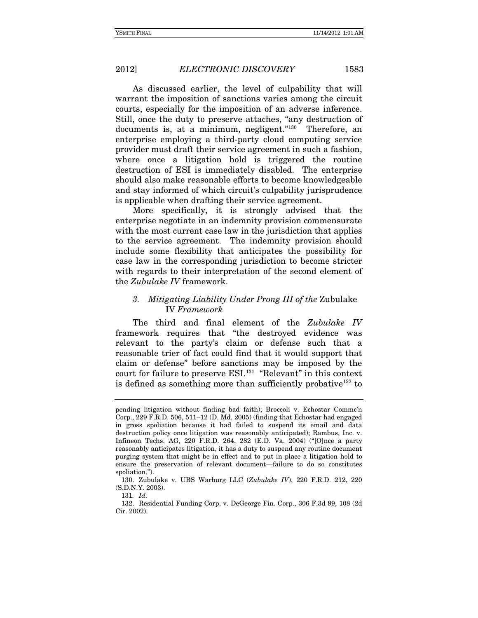As discussed earlier, the level of culpability that will warrant the imposition of sanctions varies among the circuit courts, especially for the imposition of an adverse inference. Still, once the duty to preserve attaches, "any destruction of documents is, at a minimum, negligent."<sup>130</sup> Therefore, an enterprise employing a third-party cloud computing service provider must draft their service agreement in such a fashion, where once a litigation hold is triggered the routine destruction of ESI is immediately disabled. The enterprise should also make reasonable efforts to become knowledgeable and stay informed of which circuit's culpability jurisprudence is applicable when drafting their service agreement.

More specifically, it is strongly advised that the enterprise negotiate in an indemnity provision commensurate with the most current case law in the jurisdiction that applies to the service agreement. The indemnity provision should include some flexibility that anticipates the possibility for case law in the corresponding jurisdiction to become stricter with regards to their interpretation of the second element of the *Zubulake IV* framework.

### *3. Mitigating Liability Under Prong III of the* Zubulake IV *Framework*

The third and final element of the *Zubulake IV* framework requires that "the destroyed evidence was relevant to the party's claim or defense such that a reasonable trier of fact could find that it would support that claim or defense" before sanctions may be imposed by the court for failure to preserve ESI.131 "Relevant" in this context is defined as something more than sufficiently probative<sup>132</sup> to

pending litigation without finding bad faith); Broccoli v. Echostar Commc'n Corp., 229 F.R.D. 506, 511–12 (D. Md. 2005) (finding that Echostar had engaged in gross spoliation because it had failed to suspend its email and data destruction policy once litigation was reasonably anticipated); Rambus, Inc. v. Infineon Techs. AG, 220 F.R.D. 264, 282 (E.D. Va. 2004) ("[O]nce a party reasonably anticipates litigation, it has a duty to suspend any routine document purging system that might be in effect and to put in place a litigation hold to ensure the preservation of relevant document—failure to do so constitutes spoliation.").

 <sup>130.</sup> Zubulake v. UBS Warburg LLC (*Zubulake IV*), 220 F.R.D. 212, 220 (S.D.N.Y. 2003).

<sup>131</sup>*. Id.*

 <sup>132.</sup> Residential Funding Corp. v. DeGeorge Fin. Corp., 306 F.3d 99, 108 (2d Cir. 2002).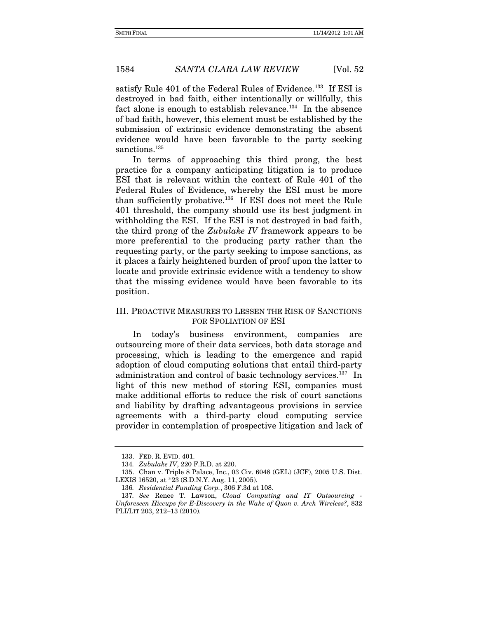satisfy Rule 401 of the Federal Rules of Evidence.<sup>133</sup> If ESI is destroyed in bad faith, either intentionally or willfully, this fact alone is enough to establish relevance.<sup>134</sup> In the absence of bad faith, however, this element must be established by the submission of extrinsic evidence demonstrating the absent evidence would have been favorable to the party seeking sanctions.<sup>135</sup>

In terms of approaching this third prong, the best practice for a company anticipating litigation is to produce ESI that is relevant within the context of Rule 401 of the Federal Rules of Evidence, whereby the ESI must be more than sufficiently probative.136 If ESI does not meet the Rule 401 threshold, the company should use its best judgment in withholding the ESI. If the ESI is not destroyed in bad faith, the third prong of the *Zubulake IV* framework appears to be more preferential to the producing party rather than the requesting party, or the party seeking to impose sanctions, as it places a fairly heightened burden of proof upon the latter to locate and provide extrinsic evidence with a tendency to show that the missing evidence would have been favorable to its position.

### III. PROACTIVE MEASURES TO LESSEN THE RISK OF SANCTIONS FOR SPOLIATION OF ESI

In today's business environment, companies are outsourcing more of their data services, both data storage and processing, which is leading to the emergence and rapid adoption of cloud computing solutions that entail third-party administration and control of basic technology services.<sup>137</sup> In light of this new method of storing ESI, companies must make additional efforts to reduce the risk of court sanctions and liability by drafting advantageous provisions in service agreements with a third-party cloud computing service provider in contemplation of prospective litigation and lack of

 <sup>133.</sup> FED. R. EVID. 401.

<sup>134</sup>*. Zubulake IV*, 220 F.R.D. at 220.

 <sup>135.</sup> Chan v. Triple 8 Palace, Inc., 03 Civ. 6048 (GEL) (JCF), 2005 U.S. Dist. LEXIS 16520, at \*23 (S.D.N.Y. Aug. 11, 2005).

<sup>136</sup>*. Residential Funding Corp.*, 306 F.3d at 108.

<sup>137</sup>*. See* Renee T. Lawson, *Cloud Computing and IT Outsourcing - Unforeseen Hiccups for E-Discovery in the Wake of Quon v. Arch Wireless?*, 832 PLI/LIT 203, 212–13 (2010).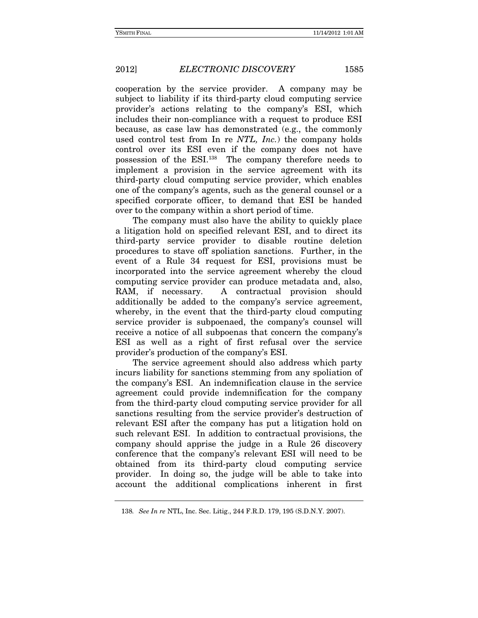cooperation by the service provider. A company may be subject to liability if its third-party cloud computing service provider's actions relating to the company's ESI, which includes their non-compliance with a request to produce ESI because, as case law has demonstrated (e.g., the commonly used control test from In re *NTL, Inc.*) the company holds control over its ESI even if the company does not have possession of the ESI.138 The company therefore needs to implement a provision in the service agreement with its third-party cloud computing service provider, which enables one of the company's agents, such as the general counsel or a specified corporate officer, to demand that ESI be handed over to the company within a short period of time.

The company must also have the ability to quickly place a litigation hold on specified relevant ESI, and to direct its third-party service provider to disable routine deletion procedures to stave off spoliation sanctions. Further, in the event of a Rule 34 request for ESI, provisions must be incorporated into the service agreement whereby the cloud computing service provider can produce metadata and, also, RAM, if necessary. A contractual provision should additionally be added to the company's service agreement, whereby, in the event that the third-party cloud computing service provider is subpoenaed, the company's counsel will receive a notice of all subpoenas that concern the company's ESI as well as a right of first refusal over the service provider's production of the company's ESI.

The service agreement should also address which party incurs liability for sanctions stemming from any spoliation of the company's ESI. An indemnification clause in the service agreement could provide indemnification for the company from the third-party cloud computing service provider for all sanctions resulting from the service provider's destruction of relevant ESI after the company has put a litigation hold on such relevant ESI. In addition to contractual provisions, the company should apprise the judge in a Rule 26 discovery conference that the company's relevant ESI will need to be obtained from its third-party cloud computing service provider. In doing so, the judge will be able to take into account the additional complications inherent in first

<sup>138</sup>*. See In re* NTL, Inc. Sec. Litig., 244 F.R.D. 179, 195 (S.D.N.Y. 2007).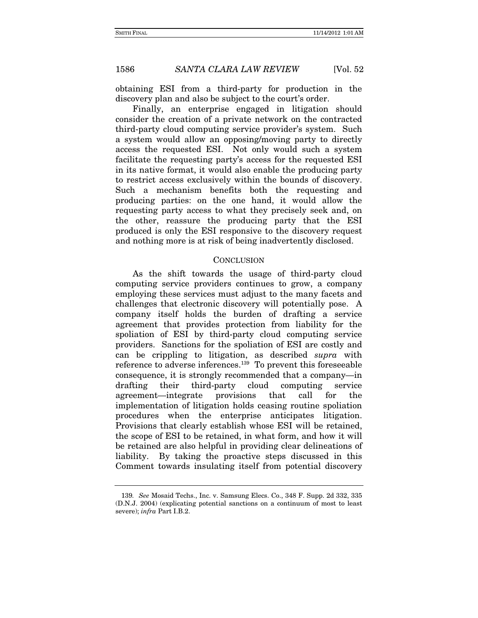obtaining ESI from a third-party for production in the discovery plan and also be subject to the court's order.

Finally, an enterprise engaged in litigation should consider the creation of a private network on the contracted third-party cloud computing service provider's system. Such a system would allow an opposing/moving party to directly access the requested ESI. Not only would such a system facilitate the requesting party's access for the requested ESI in its native format, it would also enable the producing party to restrict access exclusively within the bounds of discovery. Such a mechanism benefits both the requesting and producing parties: on the one hand, it would allow the requesting party access to what they precisely seek and, on the other, reassure the producing party that the ESI produced is only the ESI responsive to the discovery request and nothing more is at risk of being inadvertently disclosed.

### **CONCLUSION**

As the shift towards the usage of third-party cloud computing service providers continues to grow, a company employing these services must adjust to the many facets and challenges that electronic discovery will potentially pose. A company itself holds the burden of drafting a service agreement that provides protection from liability for the spoliation of ESI by third-party cloud computing service providers. Sanctions for the spoliation of ESI are costly and can be crippling to litigation, as described *supra* with reference to adverse inferences.139 To prevent this foreseeable consequence, it is strongly recommended that a company—in drafting their third-party cloud computing service agreement—integrate provisions that call for the implementation of litigation holds ceasing routine spoliation procedures when the enterprise anticipates litigation. Provisions that clearly establish whose ESI will be retained, the scope of ESI to be retained, in what form, and how it will be retained are also helpful in providing clear delineations of liability. By taking the proactive steps discussed in this Comment towards insulating itself from potential discovery

<sup>139</sup>*. See* Mosaid Techs., Inc. v. Samsung Elecs. Co., 348 F. Supp. 2d 332, 335 (D.N.J. 2004) (explicating potential sanctions on a continuum of most to least severe); *infra* Part I.B.2.